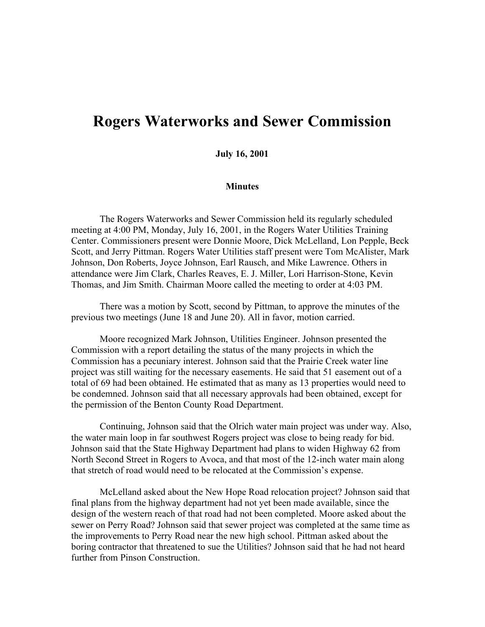## **Rogers Waterworks and Sewer Commission**

## **July 16, 2001**

## **Minutes**

The Rogers Waterworks and Sewer Commission held its regularly scheduled meeting at 4:00 PM, Monday, July 16, 2001, in the Rogers Water Utilities Training Center. Commissioners present were Donnie Moore, Dick McLelland, Lon Pepple, Beck Scott, and Jerry Pittman. Rogers Water Utilities staff present were Tom McAlister, Mark Johnson, Don Roberts, Joyce Johnson, Earl Rausch, and Mike Lawrence. Others in attendance were Jim Clark, Charles Reaves, E. J. Miller, Lori Harrison-Stone, Kevin Thomas, and Jim Smith. Chairman Moore called the meeting to order at 4:03 PM.

There was a motion by Scott, second by Pittman, to approve the minutes of the previous two meetings (June 18 and June 20). All in favor, motion carried.

Moore recognized Mark Johnson, Utilities Engineer. Johnson presented the Commission with a report detailing the status of the many projects in which the Commission has a pecuniary interest. Johnson said that the Prairie Creek water line project was still waiting for the necessary easements. He said that 51 easement out of a total of 69 had been obtained. He estimated that as many as 13 properties would need to be condemned. Johnson said that all necessary approvals had been obtained, except for the permission of the Benton County Road Department.

Continuing, Johnson said that the Olrich water main project was under way. Also, the water main loop in far southwest Rogers project was close to being ready for bid. Johnson said that the State Highway Department had plans to widen Highway 62 from North Second Street in Rogers to Avoca, and that most of the 12-inch water main along that stretch of road would need to be relocated at the Commission's expense.

McLelland asked about the New Hope Road relocation project? Johnson said that final plans from the highway department had not yet been made available, since the design of the western reach of that road had not been completed. Moore asked about the sewer on Perry Road? Johnson said that sewer project was completed at the same time as the improvements to Perry Road near the new high school. Pittman asked about the boring contractor that threatened to sue the Utilities? Johnson said that he had not heard further from Pinson Construction.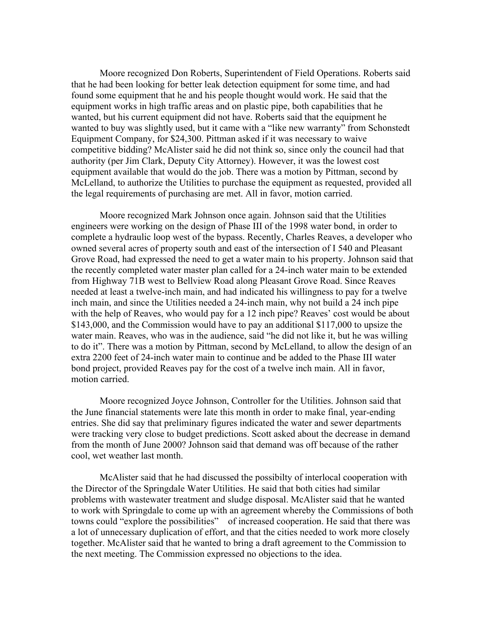Moore recognized Don Roberts, Superintendent of Field Operations. Roberts said that he had been looking for better leak detection equipment for some time, and had found some equipment that he and his people thought would work. He said that the equipment works in high traffic areas and on plastic pipe, both capabilities that he wanted, but his current equipment did not have. Roberts said that the equipment he wanted to buy was slightly used, but it came with a "like new warranty" from Schonstedt Equipment Company, for \$24,300. Pittman asked if it was necessary to waive competitive bidding? McAlister said he did not think so, since only the council had that authority (per Jim Clark, Deputy City Attorney). However, it was the lowest cost equipment available that would do the job. There was a motion by Pittman, second by McLelland, to authorize the Utilities to purchase the equipment as requested, provided all the legal requirements of purchasing are met. All in favor, motion carried.

Moore recognized Mark Johnson once again. Johnson said that the Utilities engineers were working on the design of Phase III of the 1998 water bond, in order to complete a hydraulic loop west of the bypass. Recently, Charles Reaves, a developer who owned several acres of property south and east of the intersection of I 540 and Pleasant Grove Road, had expressed the need to get a water main to his property. Johnson said that the recently completed water master plan called for a 24-inch water main to be extended from Highway 71B west to Bellview Road along Pleasant Grove Road. Since Reaves needed at least a twelve-inch main, and had indicated his willingness to pay for a twelve inch main, and since the Utilities needed a 24-inch main, why not build a 24 inch pipe with the help of Reaves, who would pay for a 12 inch pipe? Reaves' cost would be about \$143,000, and the Commission would have to pay an additional \$117,000 to upsize the water main. Reaves, who was in the audience, said "he did not like it, but he was willing to do it". There was a motion by Pittman, second by McLelland, to allow the design of an extra 2200 feet of 24-inch water main to continue and be added to the Phase III water bond project, provided Reaves pay for the cost of a twelve inch main. All in favor, motion carried.

Moore recognized Joyce Johnson, Controller for the Utilities. Johnson said that the June financial statements were late this month in order to make final, year-ending entries. She did say that preliminary figures indicated the water and sewer departments were tracking very close to budget predictions. Scott asked about the decrease in demand from the month of June 2000? Johnson said that demand was off because of the rather cool, wet weather last month.

McAlister said that he had discussed the possibilty of interlocal cooperation with the Director of the Springdale Water Utilities. He said that both cities had similar problems with wastewater treatment and sludge disposal. McAlister said that he wanted to work with Springdale to come up with an agreement whereby the Commissions of both towns could "explore the possibilities" of increased cooperation. He said that there was a lot of unnecessary duplication of effort, and that the cities needed to work more closely together. McAlister said that he wanted to bring a draft agreement to the Commission to the next meeting. The Commission expressed no objections to the idea.